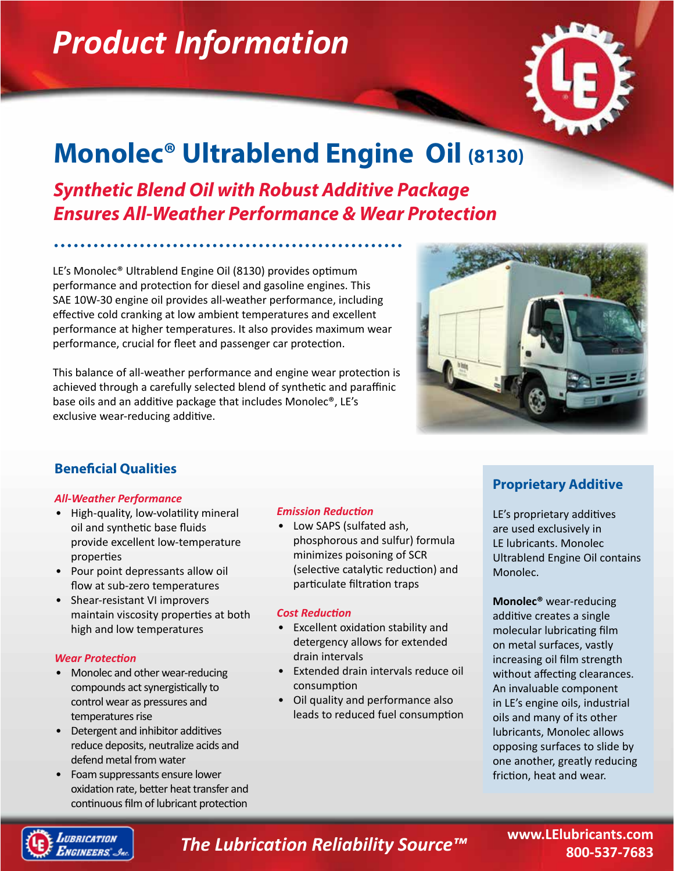# *Product Information*



## **Monolec® Ultrablend Engine Oil (8130)**

*Synthetic Blend Oil with Robust Additive Package Ensures All-Weather Performance & Wear Protection*

LE's Monolec® Ultrablend Engine Oil (8130) provides optimum performance and protection for diesel and gasoline engines. This SAE 10W-30 engine oil provides all-weather performance, including effective cold cranking at low ambient temperatures and excellent performance at higher temperatures. It also provides maximum wear performance, crucial for fleet and passenger car protection.

This balance of all-weather performance and engine wear protection is achieved through a carefully selected blend of synthetic and paraffinic base oils and an additive package that includes Monolec®, LE's exclusive wear-reducing additive.



### **Beneficial Qualities**

#### *All-Weather Performance*

- High-quality, low-volatility mineral oil and synthetic base fluids provide excellent low-temperature properties
- Pour point depressants allow oil flow at sub-zero temperatures
- Shear-resistant VI improvers maintain viscosity properties at both high and low temperatures

#### *Wear Protection*

- Monolec and other wear-reducing compounds act synergistically to control wear as pressures and temperatures rise
- Detergent and inhibitor additives reduce deposits, neutralize acids and defend metal from water
- Foam suppressants ensure lower oxidation rate, better heat transfer and continuous film of lubricant protection

#### *Emission Reduction*

• Low SAPS (sulfated ash, phosphorous and sulfur) formula minimizes poisoning of SCR (selective catalytic reduction) and particulate filtration traps

#### *Cost Reduction*

- Excellent oxidation stability and detergency allows for extended drain intervals
- Extended drain intervals reduce oil consumption
- Oil quality and performance also leads to reduced fuel consumption

### **Proprietary Additive**

LE's proprietary additives are used exclusively in LE lubricants. Monolec Ultrablend Engine Oil contains Monolec.

**Monolec®** wear-reducing additive creates a single molecular lubricating film on metal surfaces, vastly increasing oil film strength without affecting clearances. An invaluable component in LE's engine oils, industrial oils and many of its other lubricants, Monolec allows opposing surfaces to slide by one another, greatly reducing friction, heat and wear.



*The Lubrication Reliability Source™*

**www.LElubricants.com 800-537-7683**